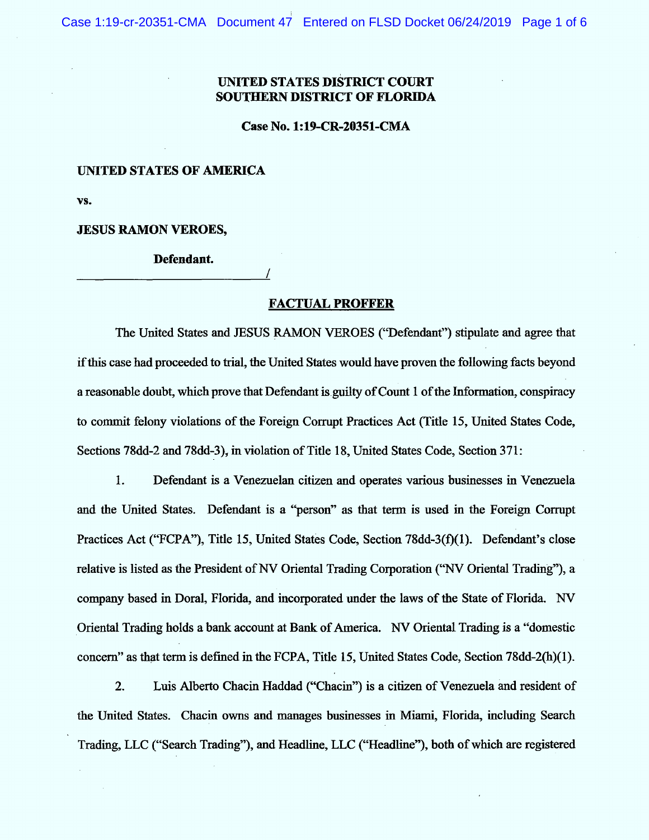## UNITED STATES DISTRICT COURT SOUTHERN DISTRICT OF FLORIDA

Case No. 1:19-CR-20351-CM A

## UNITED STATES OF AMERICA

V:.

**JESUS RAMON VEROES,** 

Defendant.

## **FACTUAL PROFFER**

/

The United States and JESUS RAMON VEROES ("Defendant") stipulate and agree that if this case had proceeded to trial, the United States would have proven the following facts beyond a reasonable doubt, which prove that Defendant is guilty of Count 1 of the Information, conspiracy to commit felony violations of the Foreign Corrupt Practices Act (Title 15, United States Code, Sections 78dd-2 and 78dd-3), in violation of Title 18, United States Code, Section 371:

 $1.$ Defendant is a Venezuelan citizen and operates various businesses in Venezuela and the United States. Defendant is a "person" as that term is used in the Foreign Corrupt Practices Act ("FCPA"), Title 15, United States Code, Section 78dd-3(f)(1). Defendant's close relative is listed as the President of NV Oriental Trading Corporation ("NV Oriental Trading"), a company based in Doral, Florida, and incorporated under the laws of the State of Florida. NV Oriental Trading holds a bank account at Bank of America. NV Oriental Trading is a "domestic concern" as that term is defined in the FCPA, Title 15, United States Code, Section 78dd-2(h)(1).

2. Luis Alberto Chacin Haddad ("Chacin") is a citizen of Venezuela and resident of the United States. Chacin owns and manages businesses in Miami, Florida, including Search Trading, LLC ("Search Trading"), and Headline, LLC ("Headline"), both of which are registered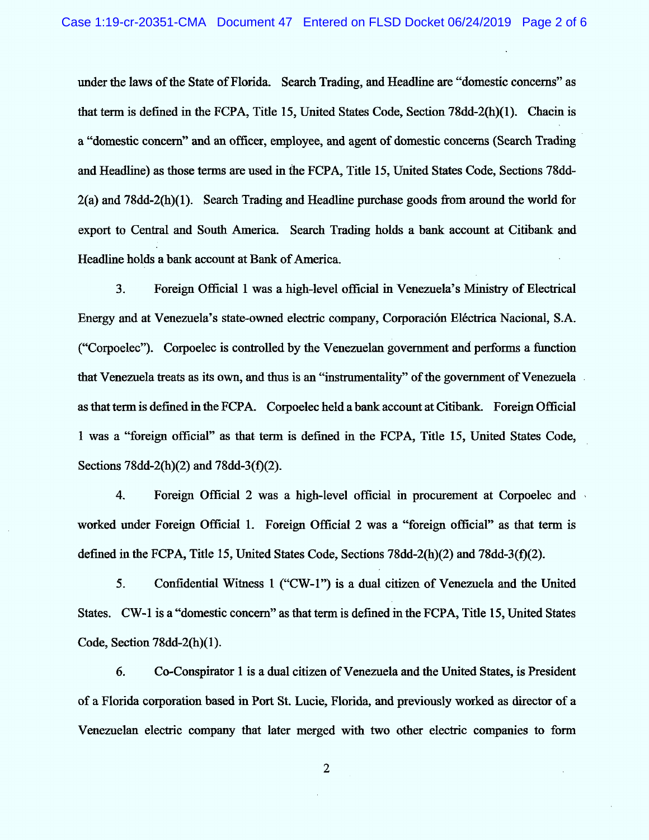under the laws of the State of Florida. Search Trading, and Headline are "domestic concerns" as that term is defined in the FCPA, Title 15, United States Code, Section 78dd-2(h)(1). Chacin is a "domestic concern" and an officer, employee, and agent of domestic concerns (Search Trading and Headline) as those terms are used in the FCPA, Title 15, United States Code, Sections 78dd- $2(a)$  and 78dd- $2(h)(1)$ . Search Trading and Headline purchase goods from around the world for export to Central and South America. Search Trading holds a bank account at Citibank and Headline holds a bank account at Bank of America.

Foreign Official 1 was a high-level official in Venezuela's Ministry of Electrical  $3<sub>1</sub>$ Energy and at Venezuela's state-owned electric company, Corporación Eléctrica Nacional, S.A. ("Corpoelec"). Corpoelec is controlled by the Venezuelan government and performs a function that Venezuela treats as its own, and thus is an "instrumentality" of the government of Venezuela as that term is defined in the FCPA. Corpoelec held a bank account at Citibank. Foreign Official 1 was a "foreign official" as that term is defined in the FCPA, Title 15, United States Code, Sections 78dd-2(h)(2) and 78dd-3(f)(2).

 $4.$ Foreign Official 2 was a high-level official in procurement at Corpoelec and worked under Foreign Official 1. Foreign Official 2 was a "foreign official" as that term is defined in the FCPA, Title 15, United States Code, Sections 78dd-2(h)(2) and 78dd-3(f)(2).

 $5<sub>1</sub>$ Confidential Witness 1 ("CW-1") is a dual citizen of Venezuela and the United States. CW-1 is a "domestic concern" as that term is defined in the FCPA, Title 15, United States Code, Section 78dd-2(h)(1).

6. Co-Conspirator 1 is a dual citizen of Venezuela and the United States, is President of a Florida corporation based in Port St. Lucie, Florida, and previously worked as director of a Venezuelan electric company that later merged with two other electric companies to form

 $\overline{2}$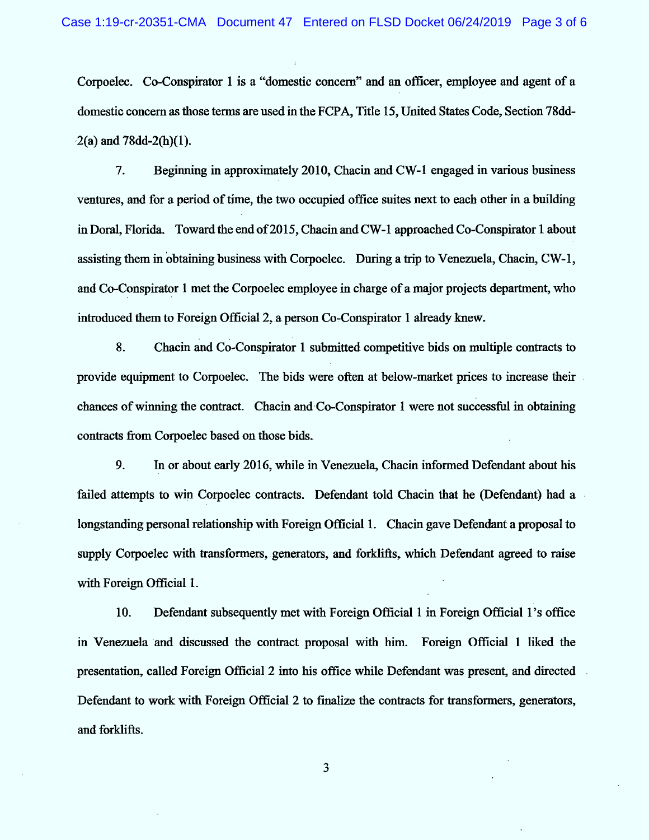Corpoelec. Co-Conspirator 1 is a "domestic concern" and an officer, employee and agent of a domestic concern as those terms are used in the FCPA, Title 15, United States Code, Section 78dd- $2(a)$  and 78dd-2(h)(1).

7. Beginning in approximately 2010, Chacin and CW-1 engaged in various business ventures, and for a period of time, the two occupied office suites next to each other in a building in Doral, Florida. Toward the end of 2015, Chacin and CW-1 approached Co-Conspirator 1 about assisting them in obtaining business with Corpoelec. During a trip to Venezuela, Chacin, CW-1, and Co-Conspirator 1 met the Corpoelec employee in charge of a major projects department, who introduced them to Foreign Official 2, a person Co-Conspirator 1 already knew.

8. Chacin and Co-Conspirator 1 submitted competitive bids on multiple contracts to provide equipment to Corpoelec. The bids were often at below-market prices to increase their chances of winning the contract. Chacin and Co-Conspirator 1 were not successful in obtaining contracts from Corpoelec based on those bids.

9. In or about early 2016, while in Venezuela, Chacin informed Defendant about his failed attempts to win Corpoelec contracts. Defendant told Chacin that he (Defendant) had a longstanding personal relationship with Foreign Official 1. Chacin gave Defendant a proposal to supply Corpoelec with transformers, generators, and forklifts, which Defendant agreed to raise with Foreign Official 1.

10. Defendant subsequently met with Foreign Official 1 in Foreign Official 1's office in Venezuela and discussed the contract proposal with him. Foreign Official 1 liked the presentation, called Foreign Official 2 into his office while Defendant was present, and directed Defendant to work with Foreign Official 2 to finalize the contracts for transformers, generators, and forklifts.

 $\mathbf{3}$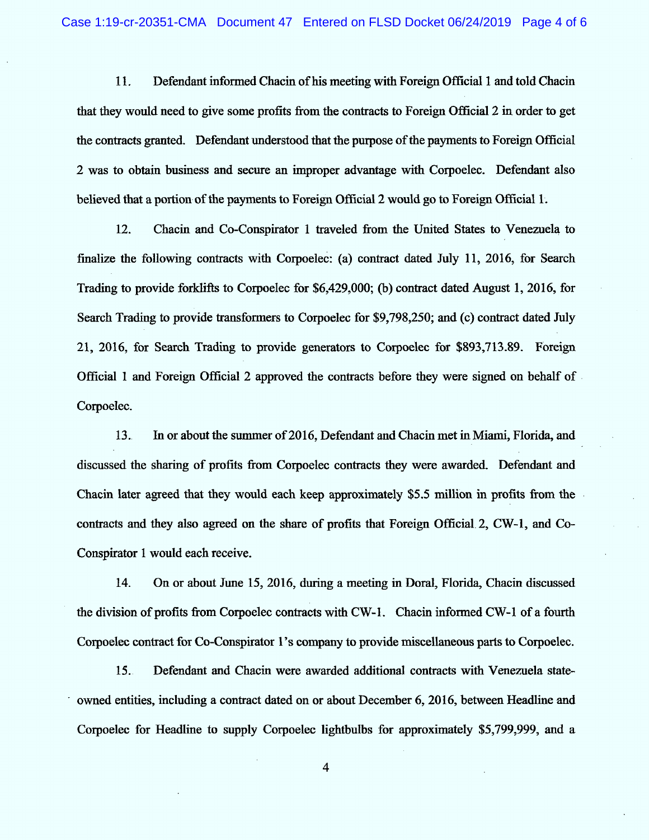11. Defendant informed Chacin of his meeting with Foreign Official 1 and told Chacin that they would need to give some profits from the contracts to Foreign Official 2 in order to get the contracts granted. Defendant understood that the purpose of the payments to Foreign Official 2 was to obtain business and secure an improper advantage with Corpoelec. Defendant also believed that a portion of the payments to Foreign Official 2 would go to Foreign Official 1.

12. Chacin and Co-Conspirator 1 traveled from the United States to Venezuela to finalize the following contracts with Corpoelec: (a) contract dated July 11, 2016, for Search Trading to provide forklifts to Corpoelec for \$6,429,000; (b) contract dated August 1, 2016, for Search Trading to provide transformers to Corpoelec for \$9,798,250; and (c) contract dated July 21, 2016, for Search Trading to provide generators to Corpoelec for \$893,713.89. Foreign Official 1 and Foreign Official 2 approved the contracts before they were signed on behalf of Corpoelec.

13. In or about the summer of 2016, Defendant and Chacin met in Miami, Florida, and discussed the sharing of profits from Corpoelec contracts they were awarded. Defendant and Chacin later agreed that they would each keep approximately \$5.5 million in profits from the contracts and they also agreed on the share of profits that Foreign Official 2, CW-1, and Co-Conspirator 1 would each receive.

14. On or about June 15, 2016, during a meeting in Doral, Florida, Chacin discussed the division of profits from Corpoelec contracts with CW-1. Chacin informed CW-1 of a fourth Corpoelec contract for Co-Conspirator 1's company to provide miscellaneous parts to Corpoelec.

15. Defendant and Chacin were awarded additional contracts with Venezuela stateowned entities, including a contract dated on or about December 6, 2016, between Headline and Corpoelec for Headline to supply Corpoelec lightbulbs for approximately \$5,799,999, and a

4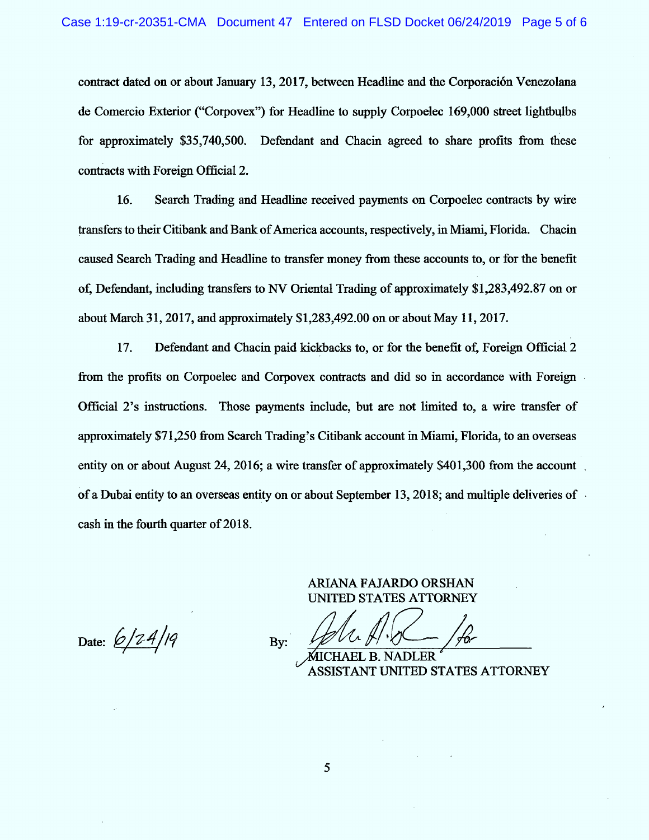contract dated on or about January 13, 2017. between Headline and the Corporaciôn Venezolana de Comercio Exterior ("Corpovex") for Headline to supply Corpoelec 169,000 street lightbulbs for approximately \$35,740,500. Defendant and Chacin agreed to share profits from these contracts with Foreign Official 2.

t6. Search Trading and Headline received payments on Corpoelec contacts by wire transfers to their Citibank and Bank of America accounts, respectively, in Miami, Florida. Chacin caused Search Trading and Headline to transfer money from these accounts to, or for the benefit of, Defendant, including transfers to NV Oriental Trading of approximately \$1,283,492.87 on or about March 31, 2017, and approximately  $$1,283,492.00$  on or about May 11, 2017.

17. Defendant and Chacin paid kickbacks to, or for the benefit of, Foreign Official 2 from the profits on Corpoelec and Corpovex contracts and did so in accordance with Foreign Official 2's instructions. Those payments include, but are not limited to, a wire transfer of approximately \$71,250 from Search Trading's Citibank account in Miami, Florida, to an overseas entity on or about August 24, 2016; a wire transfer of approximately \$401,300 from the account of a Dubai entity to an overseas entity on or about September 13, 2018; and multiple deliveries of cash in the fourth quarter of 2018.

Date:  $6/24/19$ 

ARIANA FAJARDO ORSHAN UNITED STATES ATTORNEY By:  $\frac{1}{\sqrt{1-\frac{1}{\sqrt{1-\frac{1}{\sqrt{1-\frac{1}{\sqrt{1-\frac{1}{\sqrt{1-\frac{1}{\sqrt{1-\frac{1}{\sqrt{1-\frac{1}{\sqrt{1-\frac{1}{\sqrt{1-\frac{1}{\sqrt{1-\frac{1}{\sqrt{1-\frac{1}{\sqrt{1-\frac{1}{\sqrt{1-\frac{1}{\sqrt{1-\frac{1}{\sqrt{1-\frac{1}{\sqrt{1-\frac{1}{\sqrt{1-\frac{1}{\sqrt{1-\frac{1}{\sqrt{1-\frac{1}{\sqrt{1-\frac{1}{\sqrt{1-\frac{1}{\sqrt{1-\frac{1}{\sqrt{1-\frac{1}{\sqrt{1$ 

CHAEL B. NADLER NT UNITED STATES ATTORNEY

5